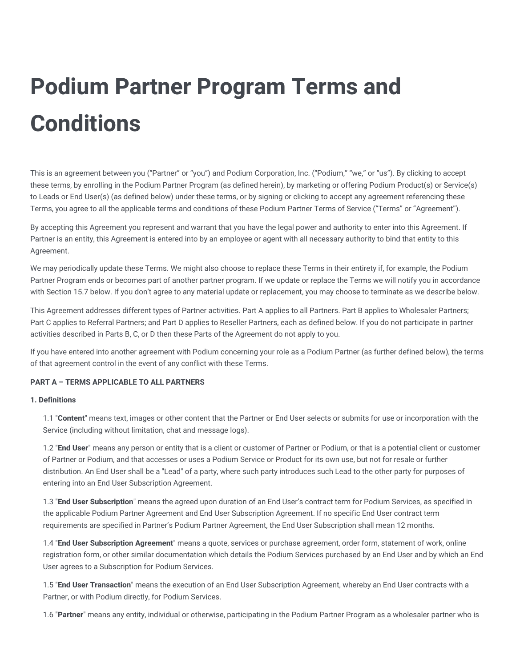# **Podium Partner Program Terms and Conditions**

This is an agreement between you ("Partner" or "you") and Podium Corporation, Inc. ("Podium," "we," or "us"). By clicking to accept these terms, by enrolling in the Podium Partner Program (as defined herein), by marketing or offering Podium Product(s) or Service(s) to Leads or End User(s) (as defined below) under these terms, or by signing or clicking to accept any agreement referencing these Terms, you agree to all the applicable terms and conditions of these Podium Partner Terms of Service ("Terms" or "Agreement").

By accepting this Agreement you represent and warrant that you have the legal power and authority to enter into this Agreement. If Partner is an entity, this Agreement is entered into by an employee or agent with all necessary authority to bind that entity to this Agreement.

We may periodically update these Terms. We might also choose to replace these Terms in their entirety if, for example, the Podium Partner Program ends or becomes part of another partner program. If we update or replace the Terms we will notify you in accordance with Section 15.7 below. If you don't agree to any material update or replacement, you may choose to terminate as we describe below.

This Agreement addresses different types of Partner activities. Part A applies to all Partners. Part B applies to Wholesaler Partners; Part C applies to Referral Partners; and Part D applies to Reseller Partners, each as defined below. If you do not participate in partner activities described in Parts B, C, or D then these Parts of the Agreement do not apply to you.

If you have entered into another agreement with Podium concerning your role as a Podium Partner (as further defined below), the terms of that agreement control in the event of any conflict with these Terms.

## **PART A – TERMS APPLICABLE TO ALL PARTNERS**

## **1. Definitions**

1.1 "**Content**" means text, images or other content that the Partner or End User selects or submits for use or incorporation with the Service (including without limitation, chat and message logs).

1.2 "**End User**" means any person or entity that is a client or customer of Partner or Podium, or that is a potential client or customer of Partner or Podium, and that accesses or uses a Podium Service or Product for its own use, but not for resale or further distribution. An End User shall be a "Lead" of a party, where such party introduces such Lead to the other party for purposes of entering into an End User Subscription Agreement.

1.3 "**End User Subscription**" means the agreed upon duration of an End User's contract term for Podium Services, as specified in the applicable Podium Partner Agreement and End User Subscription Agreement. If no specific End User contract term requirements are specified in Partner's Podium Partner Agreement, the End User Subscription shall mean 12 months.

1.4 "**End User Subscription Agreement**" means a quote, services or purchase agreement, order form, statement of work, online registration form, or other similar documentation which details the Podium Services purchased by an End User and by which an End User agrees to a Subscription for Podium Services.

1.5 "**End User Transaction**" means the execution of an End User Subscription Agreement, whereby an End User contracts with a Partner, or with Podium directly, for Podium Services.

1.6 "**Partner**" means any entity, individual or otherwise, participating in the Podium Partner Program as a wholesaler partner who is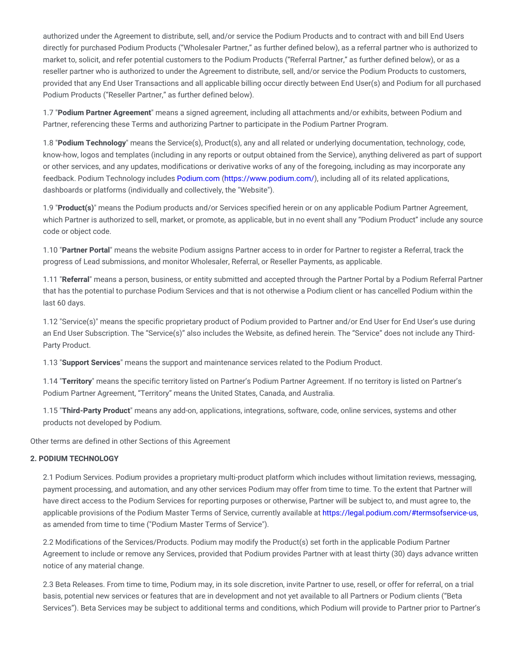authorized under the Agreement to distribute, sell, and/or service the Podium Products and to contract with and bill End Users directly for purchased Podium Products ("Wholesaler Partner," as further defined below), as a referral partner who is authorized to market to, solicit, and refer potential customers to the Podium Products ("Referral Partner," as further defined below), or as a reseller partner who is authorized to under the Agreement to distribute, sell, and/or service the Podium Products to customers, provided that any End User Transactions and all applicable billing occur directly between End User(s) and Podium for all purchased Podium Products ("Reseller Partner," as further defined below).

1.7 "**Podium Partner Agreement**" means a signed agreement, including all attachments and/or exhibits, between Podium and Partner, referencing these Terms and authorizing Partner to participate in the Podium Partner Program.

1.8 "**Podium Technology**" means the Service(s), Product(s), any and all related or underlying documentation, technology, code, know-how, logos and templates (including in any reports or output obtained from the Service), anything delivered as part of support or other services, and any updates, modifications or derivative works of any of the foregoing, including as may incorporate any feedback. Podium Technology includes [Podium.com](https://www.podium.com/) [\(https://www.podium.com/\)](https://www.podium.com/), including all of its related applications, dashboards or platforms (individually and collectively, the "Website").

1.9 "**Product(s)**" means the Podium products and/or Services specified herein or on any applicable Podium Partner Agreement, which Partner is authorized to sell, market, or promote, as applicable, but in no event shall any "Podium Product" include any source code or object code.

1.10 "**Partner Portal**" means the website Podium assigns Partner access to in order for Partner to register a Referral, track the progress of Lead submissions, and monitor Wholesaler, Referral, or Reseller Payments, as applicable.

1.11 "**Referral**" means a person, business, or entity submitted and accepted through the Partner Portal by a Podium Referral Partner that has the potential to purchase Podium Services and that is not otherwise a Podium client or has cancelled Podium within the last 60 days.

1.12 "Service(s)" means the specific proprietary product of Podium provided to Partner and/or End User for End User's use during an End User Subscription. The "Service(s)" also includes the Website, as defined herein. The "Service" does not include any Third-Party Product.

1.13 "**Support Services**" means the support and maintenance services related to the Podium Product.

1.14 "**Territory**" means the specific territory listed on Partner's Podium Partner Agreement. If no territory is listed on Partner's Podium Partner Agreement, "Territory" means the United States, Canada, and Australia.

1.15 "**Third-Party Product**" means any add-on, applications, integrations, software, code, online services, systems and other products not developed by Podium.

Other terms are defined in other Sections of this Agreement

#### **2. PODIUM TECHNOLOGY**

2.1 Podium Services. Podium provides a proprietary multi-product platform which includes without limitation reviews, messaging, payment processing, and automation, and any other services Podium may offer from time to time. To the extent that Partner will have direct access to the Podium Services for reporting purposes or otherwise, Partner will be subject to, and must agree to, the applicable provisions of the Podium Master Terms of Service, currently available at [https://legal.podium.com/#termsofservice-us,](https://legal.podium.com/#termsofservice-us) as amended from time to time ("Podium Master Terms of Service").

2.2 Modifications of the Services/Products. Podium may modify the Product(s) set forth in the applicable Podium Partner Agreement to include or remove any Services, provided that Podium provides Partner with at least thirty (30) days advance written notice of any material change.

2.3 Beta Releases. From time to time, Podium may, in its sole discretion, invite Partner to use, resell, or offer for referral, on a trial basis, potential new services or features that are in development and not yet available to all Partners or Podium clients ("Beta Services"). Beta Services may be subject to additional terms and conditions, which Podium will provide to Partner prior to Partner's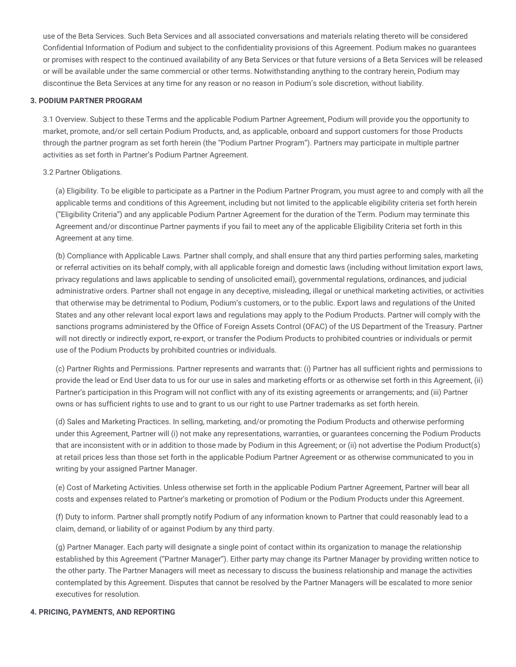use of the Beta Services. Such Beta Services and all associated conversations and materials relating thereto will be considered Confidential Information of Podium and subject to the confidentiality provisions of this Agreement. Podium makes no guarantees or promises with respect to the continued availability of any Beta Services or that future versions of a Beta Services will be released or will be available under the same commercial or other terms. Notwithstanding anything to the contrary herein, Podium may discontinue the Beta Services at any time for any reason or no reason in Podium's sole discretion, without liability.

## **3. PODIUM PARTNER PROGRAM**

3.1 Overview. Subject to these Terms and the applicable Podium Partner Agreement, Podium will provide you the opportunity to market, promote, and/or sell certain Podium Products, and, as applicable, onboard and support customers for those Products through the partner program as set forth herein (the "Podium Partner Program"). Partners may participate in multiple partner activities as set forth in Partner's Podium Partner Agreement.

## 3.2 Partner Obligations.

(a) Eligibility. To be eligible to participate as a Partner in the Podium Partner Program, you must agree to and comply with all the applicable terms and conditions of this Agreement, including but not limited to the applicable eligibility criteria set forth herein ("Eligibility Criteria") and any applicable Podium Partner Agreement for the duration of the Term. Podium may terminate this Agreement and/or discontinue Partner payments if you fail to meet any of the applicable Eligibility Criteria set forth in this Agreement at any time.

(b) Compliance with Applicable Laws. Partner shall comply, and shall ensure that any third parties performing sales, marketing or referral activities on its behalf comply, with all applicable foreign and domestic laws (including without limitation export laws, privacy regulations and laws applicable to sending of unsolicited email), governmental regulations, ordinances, and judicial administrative orders. Partner shall not engage in any deceptive, misleading, illegal or unethical marketing activities, or activities that otherwise may be detrimental to Podium, Podium's customers, or to the public. Export laws and regulations of the United States and any other relevant local export laws and regulations may apply to the Podium Products. Partner will comply with the sanctions programs administered by the Office of Foreign Assets Control (OFAC) of the US Department of the Treasury. Partner will not directly or indirectly export, re-export, or transfer the Podium Products to prohibited countries or individuals or permit use of the Podium Products by prohibited countries or individuals.

(c) Partner Rights and Permissions. Partner represents and warrants that: (i) Partner has all sufficient rights and permissions to provide the lead or End User data to us for our use in sales and marketing efforts or as otherwise set forth in this Agreement, (ii) Partner's participation in this Program will not conflict with any of its existing agreements or arrangements; and (iii) Partner owns or has sufficient rights to use and to grant to us our right to use Partner trademarks as set forth herein.

(d) Sales and Marketing Practices. In selling, marketing, and/or promoting the Podium Products and otherwise performing under this Agreement, Partner will (i) not make any representations, warranties, or guarantees concerning the Podium Products that are inconsistent with or in addition to those made by Podium in this Agreement; or (ii) not advertise the Podium Product(s) at retail prices less than those set forth in the applicable Podium Partner Agreement or as otherwise communicated to you in writing by your assigned Partner Manager.

(e) Cost of Marketing Activities. Unless otherwise set forth in the applicable Podium Partner Agreement, Partner will bear all costs and expenses related to Partner's marketing or promotion of Podium or the Podium Products under this Agreement.

(f) Duty to inform. Partner shall promptly notify Podium of any information known to Partner that could reasonably lead to a claim, demand, or liability of or against Podium by any third party.

(g) Partner Manager. Each party will designate a single point of contact within its organization to manage the relationship established by this Agreement ("Partner Manager"). Either party may change its Partner Manager by providing written notice to the other party. The Partner Managers will meet as necessary to discuss the business relationship and manage the activities contemplated by this Agreement. Disputes that cannot be resolved by the Partner Managers will be escalated to more senior executives for resolution.

## **4. PRICING, PAYMENTS, AND REPORTING**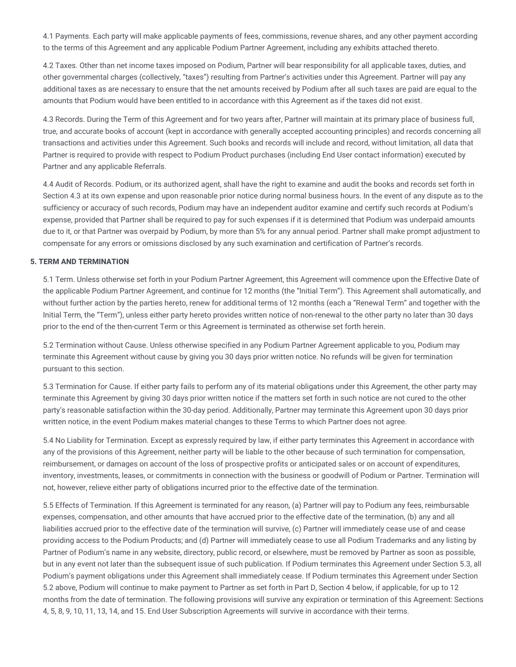4.1 Payments. Each party will make applicable payments of fees, commissions, revenue shares, and any other payment according to the terms of this Agreement and any applicable Podium Partner Agreement, including any exhibits attached thereto.

4.2 Taxes. Other than net income taxes imposed on Podium, Partner will bear responsibility for all applicable taxes, duties, and other governmental charges (collectively, "taxes") resulting from Partner's activities under this Agreement. Partner will pay any additional taxes as are necessary to ensure that the net amounts received by Podium after all such taxes are paid are equal to the amounts that Podium would have been entitled to in accordance with this Agreement as if the taxes did not exist.

4.3 Records. During the Term of this Agreement and for two years after, Partner will maintain at its primary place of business full, true, and accurate books of account (kept in accordance with generally accepted accounting principles) and records concerning all transactions and activities under this Agreement. Such books and records will include and record, without limitation, all data that Partner is required to provide with respect to Podium Product purchases (including End User contact information) executed by Partner and any applicable Referrals.

4.4 Audit of Records. Podium, or its authorized agent, shall have the right to examine and audit the books and records set forth in Section 4.3 at its own expense and upon reasonable prior notice during normal business hours. In the event of any dispute as to the sufficiency or accuracy of such records, Podium may have an independent auditor examine and certify such records at Podium's expense, provided that Partner shall be required to pay for such expenses if it is determined that Podium was underpaid amounts due to it, or that Partner was overpaid by Podium, by more than 5% for any annual period. Partner shall make prompt adjustment to compensate for any errors or omissions disclosed by any such examination and certification of Partner's records.

## **5. TERM AND TERMINATION**

5.1 Term. Unless otherwise set forth in your Podium Partner Agreement, this Agreement will commence upon the Effective Date of the applicable Podium Partner Agreement, and continue for 12 months (the "Initial Term"). This Agreement shall automatically, and without further action by the parties hereto, renew for additional terms of 12 months (each a "Renewal Term" and together with the Initial Term, the "Term"), unless either party hereto provides written notice of non-renewal to the other party no later than 30 days prior to the end of the then-current Term or this Agreement is terminated as otherwise set forth herein.

5.2 Termination without Cause. Unless otherwise specified in any Podium Partner Agreement applicable to you, Podium may terminate this Agreement without cause by giving you 30 days prior written notice. No refunds will be given for termination pursuant to this section.

5.3 Termination for Cause. If either party fails to perform any of its material obligations under this Agreement, the other party may terminate this Agreement by giving 30 days prior written notice if the matters set forth in such notice are not cured to the other party's reasonable satisfaction within the 30-day period. Additionally, Partner may terminate this Agreement upon 30 days prior written notice, in the event Podium makes material changes to these Terms to which Partner does not agree.

5.4 No Liability for Termination. Except as expressly required by law, if either party terminates this Agreement in accordance with any of the provisions of this Agreement, neither party will be liable to the other because of such termination for compensation, reimbursement, or damages on account of the loss of prospective profits or anticipated sales or on account of expenditures, inventory, investments, leases, or commitments in connection with the business or goodwill of Podium or Partner. Termination will not, however, relieve either party of obligations incurred prior to the effective date of the termination.

5.5 Effects of Termination. If this Agreement is terminated for any reason, (a) Partner will pay to Podium any fees, reimbursable expenses, compensation, and other amounts that have accrued prior to the effective date of the termination, (b) any and all liabilities accrued prior to the effective date of the termination will survive, (c) Partner will immediately cease use of and cease providing access to the Podium Products; and (d) Partner will immediately cease to use all Podium Trademarks and any listing by Partner of Podium's name in any website, directory, public record, or elsewhere, must be removed by Partner as soon as possible, but in any event not later than the subsequent issue of such publication. If Podium terminates this Agreement under Section 5.3, all Podium's payment obligations under this Agreement shall immediately cease. If Podium terminates this Agreement under Section 5.2 above, Podium will continue to make payment to Partner as set forth in Part D, Section 4 below, if applicable, for up to 12 months from the date of termination. The following provisions will survive any expiration or termination of this Agreement: Sections 4, 5, 8, 9, 10, 11, 13, 14, and 15. End User Subscription Agreements will survive in accordance with their terms.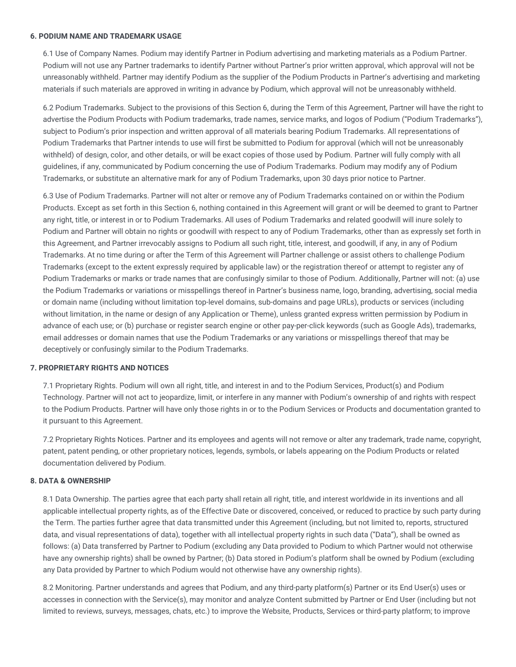#### **6. PODIUM NAME AND TRADEMARK USAGE**

6.1 Use of Company Names. Podium may identify Partner in Podium advertising and marketing materials as a Podium Partner. Podium will not use any Partner trademarks to identify Partner without Partner's prior written approval, which approval will not be unreasonably withheld. Partner may identify Podium as the supplier of the Podium Products in Partner's advertising and marketing materials if such materials are approved in writing in advance by Podium, which approval will not be unreasonably withheld.

6.2 Podium Trademarks. Subject to the provisions of this Section 6, during the Term of this Agreement, Partner will have the right to advertise the Podium Products with Podium trademarks, trade names, service marks, and logos of Podium ("Podium Trademarks"), subject to Podium's prior inspection and written approval of all materials bearing Podium Trademarks. All representations of Podium Trademarks that Partner intends to use will first be submitted to Podium for approval (which will not be unreasonably withheld) of design, color, and other details, or will be exact copies of those used by Podium. Partner will fully comply with all guidelines, if any, communicated by Podium concerning the use of Podium Trademarks. Podium may modify any of Podium Trademarks, or substitute an alternative mark for any of Podium Trademarks, upon 30 days prior notice to Partner.

6.3 Use of Podium Trademarks. Partner will not alter or remove any of Podium Trademarks contained on or within the Podium Products. Except as set forth in this Section 6, nothing contained in this Agreement will grant or will be deemed to grant to Partner any right, title, or interest in or to Podium Trademarks. All uses of Podium Trademarks and related goodwill will inure solely to Podium and Partner will obtain no rights or goodwill with respect to any of Podium Trademarks, other than as expressly set forth in this Agreement, and Partner irrevocably assigns to Podium all such right, title, interest, and goodwill, if any, in any of Podium Trademarks. At no time during or after the Term of this Agreement will Partner challenge or assist others to challenge Podium Trademarks (except to the extent expressly required by applicable law) or the registration thereof or attempt to register any of Podium Trademarks or marks or trade names that are confusingly similar to those of Podium. Additionally, Partner will not: (a) use the Podium Trademarks or variations or misspellings thereof in Partner's business name, logo, branding, advertising, social media or domain name (including without limitation top-level domains, sub-domains and page URLs), products or services (including without limitation, in the name or design of any Application or Theme), unless granted express written permission by Podium in advance of each use; or (b) purchase or register search engine or other pay-per-click keywords (such as Google Ads), trademarks, email addresses or domain names that use the Podium Trademarks or any variations or misspellings thereof that may be deceptively or confusingly similar to the Podium Trademarks.

#### **7. PROPRIETARY RIGHTS AND NOTICES**

7.1 Proprietary Rights. Podium will own all right, title, and interest in and to the Podium Services, Product(s) and Podium Technology. Partner will not act to jeopardize, limit, or interfere in any manner with Podium's ownership of and rights with respect to the Podium Products. Partner will have only those rights in or to the Podium Services or Products and documentation granted to it pursuant to this Agreement.

7.2 Proprietary Rights Notices. Partner and its employees and agents will not remove or alter any trademark, trade name, copyright, patent, patent pending, or other proprietary notices, legends, symbols, or labels appearing on the Podium Products or related documentation delivered by Podium.

#### **8. DATA & OWNERSHIP**

8.1 Data Ownership. The parties agree that each party shall retain all right, title, and interest worldwide in its inventions and all applicable intellectual property rights, as of the Effective Date or discovered, conceived, or reduced to practice by such party during the Term. The parties further agree that data transmitted under this Agreement (including, but not limited to, reports, structured data, and visual representations of data), together with all intellectual property rights in such data ("Data"), shall be owned as follows: (a) Data transferred by Partner to Podium (excluding any Data provided to Podium to which Partner would not otherwise have any ownership rights) shall be owned by Partner; (b) Data stored in Podium's platform shall be owned by Podium (excluding any Data provided by Partner to which Podium would not otherwise have any ownership rights).

8.2 Monitoring. Partner understands and agrees that Podium, and any third-party platform(s) Partner or its End User(s) uses or accesses in connection with the Service(s), may monitor and analyze Content submitted by Partner or End User (including but not limited to reviews, surveys, messages, chats, etc.) to improve the Website, Products, Services or third-party platform; to improve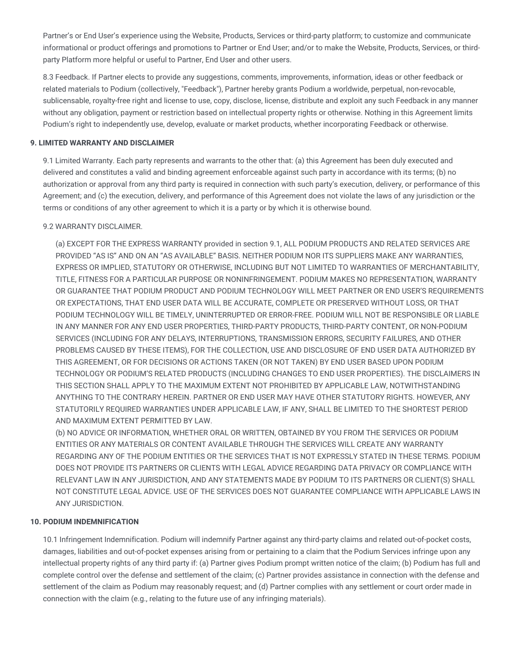Partner's or End User's experience using the Website, Products, Services or third-party platform; to customize and communicate informational or product offerings and promotions to Partner or End User; and/or to make the Website, Products, Services, or thirdparty Platform more helpful or useful to Partner, End User and other users.

8.3 Feedback. If Partner elects to provide any suggestions, comments, improvements, information, ideas or other feedback or related materials to Podium (collectively, "Feedback"), Partner hereby grants Podium a worldwide, perpetual, non-revocable, sublicensable, royalty-free right and license to use, copy, disclose, license, distribute and exploit any such Feedback in any manner without any obligation, payment or restriction based on intellectual property rights or otherwise. Nothing in this Agreement limits Podium's right to independently use, develop, evaluate or market products, whether incorporating Feedback or otherwise.

## **9. LIMITED WARRANTY AND DISCLAIMER**

9.1 Limited Warranty. Each party represents and warrants to the other that: (a) this Agreement has been duly executed and delivered and constitutes a valid and binding agreement enforceable against such party in accordance with its terms; (b) no authorization or approval from any third party is required in connection with such party's execution, delivery, or performance of this Agreement; and (c) the execution, delivery, and performance of this Agreement does not violate the laws of any jurisdiction or the terms or conditions of any other agreement to which it is a party or by which it is otherwise bound.

## 9.2 WARRANTY DISCLAIMER.

(a) EXCEPT FOR THE EXPRESS WARRANTY provided in section 9.1, ALL PODIUM PRODUCTS AND RELATED SERVICES ARE PROVIDED "AS IS" AND ON AN "AS AVAILABLE" BASIS. NEITHER PODIUM NOR ITS SUPPLIERS MAKE ANY WARRANTIES, EXPRESS OR IMPLIED, STATUTORY OR OTHERWISE, INCLUDING BUT NOT LIMITED TO WARRANTIES OF MERCHANTABILITY, TITLE, FITNESS FOR A PARTICULAR PURPOSE OR NONINFRINGEMENT. PODIUM MAKES NO REPRESENTATION, WARRANTY OR GUARANTEE THAT PODIUM PRODUCT AND PODIUM TECHNOLOGY WILL MEET PARTNER OR END USER'S REQUIREMENTS OR EXPECTATIONS, THAT END USER DATA WILL BE ACCURATE, COMPLETE OR PRESERVED WITHOUT LOSS, OR THAT PODIUM TECHNOLOGY WILL BE TIMELY, UNINTERRUPTED OR ERROR-FREE. PODIUM WILL NOT BE RESPONSIBLE OR LIABLE IN ANY MANNER FOR ANY END USER PROPERTIES, THIRD-PARTY PRODUCTS, THIRD-PARTY CONTENT, OR NON-PODIUM SERVICES (INCLUDING FOR ANY DELAYS, INTERRUPTIONS, TRANSMISSION ERRORS, SECURITY FAILURES, AND OTHER PROBLEMS CAUSED BY THESE ITEMS), FOR THE COLLECTION, USE AND DISCLOSURE OF END USER DATA AUTHORIZED BY THIS AGREEMENT, OR FOR DECISIONS OR ACTIONS TAKEN (OR NOT TAKEN) BY END USER BASED UPON PODIUM TECHNOLOGY OR PODIUM'S RELATED PRODUCTS (INCLUDING CHANGES TO END USER PROPERTIES). THE DISCLAIMERS IN THIS SECTION SHALL APPLY TO THE MAXIMUM EXTENT NOT PROHIBITED BY APPLICABLE LAW, NOTWITHSTANDING ANYTHING TO THE CONTRARY HEREIN. PARTNER OR END USER MAY HAVE OTHER STATUTORY RIGHTS. HOWEVER, ANY STATUTORILY REQUIRED WARRANTIES UNDER APPLICABLE LAW, IF ANY, SHALL BE LIMITED TO THE SHORTEST PERIOD AND MAXIMUM EXTENT PERMITTED BY LAW.

(b) NO ADVICE OR INFORMATION, WHETHER ORAL OR WRITTEN, OBTAINED BY YOU FROM THE SERVICES OR PODIUM ENTITIES OR ANY MATERIALS OR CONTENT AVAILABLE THROUGH THE SERVICES WILL CREATE ANY WARRANTY REGARDING ANY OF THE PODIUM ENTITIES OR THE SERVICES THAT IS NOT EXPRESSLY STATED IN THESE TERMS. PODIUM DOES NOT PROVIDE ITS PARTNERS OR CLIENTS WITH LEGAL ADVICE REGARDING DATA PRIVACY OR COMPLIANCE WITH RELEVANT LAW IN ANY JURISDICTION, AND ANY STATEMENTS MADE BY PODIUM TO ITS PARTNERS OR CLIENT(S) SHALL NOT CONSTITUTE LEGAL ADVICE. USE OF THE SERVICES DOES NOT GUARANTEE COMPLIANCE WITH APPLICABLE LAWS IN ANY JURISDICTION.

#### **10. PODIUM INDEMNIFICATION**

10.1 Infringement Indemnification. Podium will indemnify Partner against any third-party claims and related out-of-pocket costs, damages, liabilities and out-of-pocket expenses arising from or pertaining to a claim that the Podium Services infringe upon any intellectual property rights of any third party if: (a) Partner gives Podium prompt written notice of the claim; (b) Podium has full and complete control over the defense and settlement of the claim; (c) Partner provides assistance in connection with the defense and settlement of the claim as Podium may reasonably request; and (d) Partner complies with any settlement or court order made in connection with the claim (e.g., relating to the future use of any infringing materials).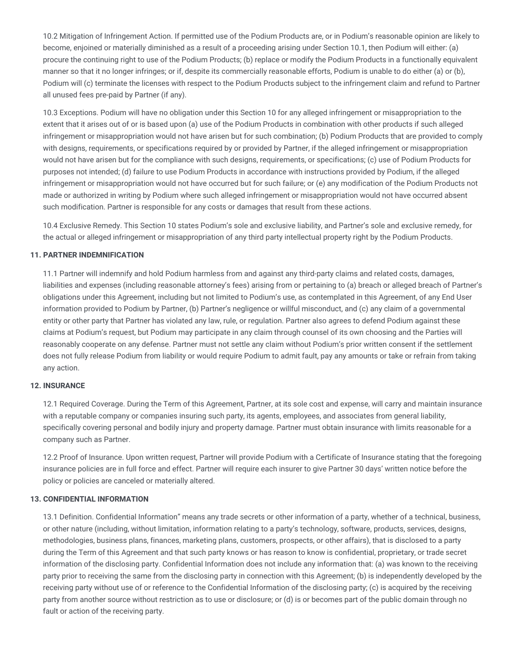10.2 Mitigation of Infringement Action. If permitted use of the Podium Products are, or in Podium's reasonable opinion are likely to become, enjoined or materially diminished as a result of a proceeding arising under Section 10.1, then Podium will either: (a) procure the continuing right to use of the Podium Products; (b) replace or modify the Podium Products in a functionally equivalent manner so that it no longer infringes; or if, despite its commercially reasonable efforts, Podium is unable to do either (a) or (b), Podium will (c) terminate the licenses with respect to the Podium Products subject to the infringement claim and refund to Partner all unused fees pre-paid by Partner (if any).

10.3 Exceptions. Podium will have no obligation under this Section 10 for any alleged infringement or misappropriation to the extent that it arises out of or is based upon (a) use of the Podium Products in combination with other products if such alleged infringement or misappropriation would not have arisen but for such combination; (b) Podium Products that are provided to comply with designs, requirements, or specifications required by or provided by Partner, if the alleged infringement or misappropriation would not have arisen but for the compliance with such designs, requirements, or specifications; (c) use of Podium Products for purposes not intended; (d) failure to use Podium Products in accordance with instructions provided by Podium, if the alleged infringement or misappropriation would not have occurred but for such failure; or (e) any modification of the Podium Products not made or authorized in writing by Podium where such alleged infringement or misappropriation would not have occurred absent such modification. Partner is responsible for any costs or damages that result from these actions.

10.4 Exclusive Remedy. This Section 10 states Podium's sole and exclusive liability, and Partner's sole and exclusive remedy, for the actual or alleged infringement or misappropriation of any third party intellectual property right by the Podium Products.

## **11. PARTNER INDEMNIFICATION**

11.1 Partner will indemnify and hold Podium harmless from and against any third-party claims and related costs, damages, liabilities and expenses (including reasonable attorney's fees) arising from or pertaining to (a) breach or alleged breach of Partner's obligations under this Agreement, including but not limited to Podium's use, as contemplated in this Agreement, of any End User information provided to Podium by Partner, (b) Partner's negligence or willful misconduct, and (c) any claim of a governmental entity or other party that Partner has violated any law, rule, or regulation. Partner also agrees to defend Podium against these claims at Podium's request, but Podium may participate in any claim through counsel of its own choosing and the Parties will reasonably cooperate on any defense. Partner must not settle any claim without Podium's prior written consent if the settlement does not fully release Podium from liability or would require Podium to admit fault, pay any amounts or take or refrain from taking any action.

## **12. INSURANCE**

12.1 Required Coverage. During the Term of this Agreement, Partner, at its sole cost and expense, will carry and maintain insurance with a reputable company or companies insuring such party, its agents, employees, and associates from general liability, specifically covering personal and bodily injury and property damage. Partner must obtain insurance with limits reasonable for a company such as Partner.

12.2 Proof of Insurance. Upon written request, Partner will provide Podium with a Certificate of Insurance stating that the foregoing insurance policies are in full force and effect. Partner will require each insurer to give Partner 30 days' written notice before the policy or policies are canceled or materially altered.

## **13. CONFIDENTIAL INFORMATION**

13.1 Definition. Confidential Information" means any trade secrets or other information of a party, whether of a technical, business, or other nature (including, without limitation, information relating to a party's technology, software, products, services, designs, methodologies, business plans, finances, marketing plans, customers, prospects, or other affairs), that is disclosed to a party during the Term of this Agreement and that such party knows or has reason to know is confidential, proprietary, or trade secret information of the disclosing party. Confidential Information does not include any information that: (a) was known to the receiving party prior to receiving the same from the disclosing party in connection with this Agreement; (b) is independently developed by the receiving party without use of or reference to the Confidential Information of the disclosing party; (c) is acquired by the receiving party from another source without restriction as to use or disclosure; or (d) is or becomes part of the public domain through no fault or action of the receiving party.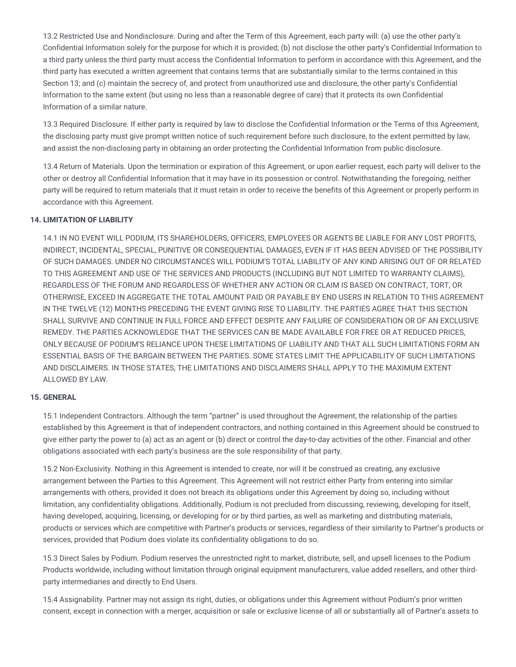13.2 Restricted Use and Nondisclosure. During and after the Term of this Agreement, each party will: (a) use the other party's Confidential Information solely for the purpose for which it is provided; (b) not disclose the other party's Confidential Information to a third party unless the third party must access the Confidential Information to perform in accordance with this Agreement, and the third party has executed a written agreement that contains terms that are substantially similar to the terms contained in this Section 13; and (c) maintain the secrecy of, and protect from unauthorized use and disclosure, the other party's Confidential Information to the same extent (but using no less than a reasonable degree of care) that it protects its own Confidential Information of a similar nature.

13.3 Required Disclosure. If either party is required by law to disclose the Confidential Information or the Terms of this Agreement, the disclosing party must give prompt written notice of such requirement before such disclosure, to the extent permitted by law, and assist the non-disclosing party in obtaining an order protecting the Confidential Information from public disclosure.

13.4 Return of Materials. Upon the termination or expiration of this Agreement, or upon earlier request, each party will deliver to the other or destroy all Confidential Information that it may have in its possession or control. Notwithstanding the foregoing, neither party will be required to return materials that it must retain in order to receive the benefits of this Agreement or properly perform in accordance with this Agreement.

## **14. LIMITATION OF LIABILITY**

14.1 IN NO EVENT WILL PODIUM, ITS SHAREHOLDERS, OFFICERS, EMPLOYEES OR AGENTS BE LIABLE FOR ANY LOST PROFITS, INDIRECT, INCIDENTAL, SPECIAL, PUNITIVE OR CONSEQUENTIAL DAMAGES, EVEN IF IT HAS BEEN ADVISED OF THE POSSIBILITY OF SUCH DAMAGES. UNDER NO CIRCUMSTANCES WILL PODIUM'S TOTAL LIABILITY OF ANY KIND ARISING OUT OF OR RELATED TO THIS AGREEMENT AND USE OF THE SERVICES AND PRODUCTS (INCLUDING BUT NOT LIMITED TO WARRANTY CLAIMS), REGARDLESS OF THE FORUM AND REGARDLESS OF WHETHER ANY ACTION OR CLAIM IS BASED ON CONTRACT, TORT, OR OTHERWISE, EXCEED IN AGGREGATE THE TOTAL AMOUNT PAID OR PAYABLE BY END USERS IN RELATION TO THIS AGREEMENT IN THE TWELVE (12) MONTHS PRECEDING THE EVENT GIVING RISE TO LIABILITY. THE PARTIES AGREE THAT THIS SECTION SHALL SURVIVE AND CONTINUE IN FULL FORCE AND EFFECT DESPITE ANY FAILURE OF CONSIDERATION OR OF AN EXCLUSIVE REMEDY. THE PARTIES ACKNOWLEDGE THAT THE SERVICES CAN BE MADE AVAILABLE FOR FREE OR AT REDUCED PRICES, ONLY BECAUSE OF PODIUM'S RELIANCE UPON THESE LIMITATIONS OF LIABILITY AND THAT ALL SUCH LIMITATIONS FORM AN ESSENTIAL BASIS OF THE BARGAIN BETWEEN THE PARTIES. SOME STATES LIMIT THE APPLICABILITY OF SUCH LIMITATIONS AND DISCLAIMERS. IN THOSE STATES, THE LIMITATIONS AND DISCLAIMERS SHALL APPLY TO THE MAXIMUM EXTENT ALLOWED BY LAW.

## **15. GENERAL**

15.1 Independent Contractors. Although the term "partner" is used throughout the Agreement, the relationship of the parties established by this Agreement is that of independent contractors, and nothing contained in this Agreement should be construed to give either party the power to (a) act as an agent or (b) direct or control the day-to-day activities of the other. Financial and other obligations associated with each party's business are the sole responsibility of that party.

15.2 Non-Exclusivity. Nothing in this Agreement is intended to create, nor will it be construed as creating, any exclusive arrangement between the Parties to this Agreement. This Agreement will not restrict either Party from entering into similar arrangements with others, provided it does not breach its obligations under this Agreement by doing so, including without limitation, any confidentiality obligations. Additionally, Podium is not precluded from discussing, reviewing, developing for itself, having developed, acquiring, licensing, or developing for or by third parties, as well as marketing and distributing materials, products or services which are competitive with Partner's products or services, regardless of their similarity to Partner's products or services, provided that Podium does violate its confidentiality obligations to do so.

15.3 Direct Sales by Podium. Podium reserves the unrestricted right to market, distribute, sell, and upsell licenses to the Podium Products worldwide, including without limitation through original equipment manufacturers, value added resellers, and other thirdparty intermediaries and directly to End Users.

15.4 Assignability. Partner may not assign its right, duties, or obligations under this Agreement without Podium's prior written consent, except in connection with a merger, acquisition or sale or exclusive license of all or substantially all of Partner's assets to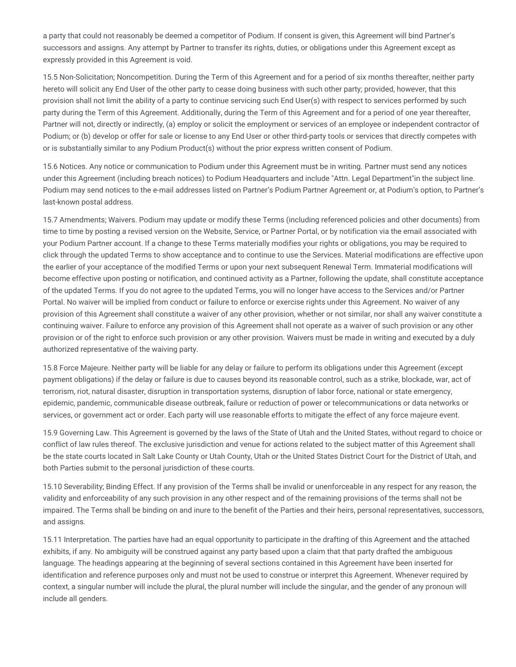a party that could not reasonably be deemed a competitor of Podium. If consent is given, this Agreement will bind Partner's successors and assigns. Any attempt by Partner to transfer its rights, duties, or obligations under this Agreement except as expressly provided in this Agreement is void.

15.5 Non-Solicitation; Noncompetition. During the Term of this Agreement and for a period of six months thereafter, neither party hereto will solicit any End User of the other party to cease doing business with such other party; provided, however, that this provision shall not limit the ability of a party to continue servicing such End User(s) with respect to services performed by such party during the Term of this Agreement. Additionally, during the Term of this Agreement and for a period of one year thereafter, Partner will not, directly or indirectly, (a) employ or solicit the employment or services of an employee or independent contractor of Podium; or (b) develop or offer for sale or license to any End User or other third-party tools or services that directly competes with or is substantially similar to any Podium Product(s) without the prior express written consent of Podium.

15.6 Notices. Any notice or communication to Podium under this Agreement must be in writing. Partner must send any notices under this Agreement (including breach notices) to Podium Headquarters and include "Attn. Legal Department"in the subject line. Podium may send notices to the e-mail addresses listed on Partner's Podium Partner Agreement or, at Podium's option, to Partner's last-known postal address.

15.7 Amendments; Waivers. Podium may update or modify these Terms (including referenced policies and other documents) from time to time by posting a revised version on the Website, Service, or Partner Portal, or by notification via the email associated with your Podium Partner account. If a change to these Terms materially modifies your rights or obligations, you may be required to click through the updated Terms to show acceptance and to continue to use the Services. Material modifications are effective upon the earlier of your acceptance of the modified Terms or upon your next subsequent Renewal Term. Immaterial modifications will become effective upon posting or notification, and continued activity as a Partner, following the update, shall constitute acceptance of the updated Terms. If you do not agree to the updated Terms, you will no longer have access to the Services and/or Partner Portal. No waiver will be implied from conduct or failure to enforce or exercise rights under this Agreement. No waiver of any provision of this Agreement shall constitute a waiver of any other provision, whether or not similar, nor shall any waiver constitute a continuing waiver. Failure to enforce any provision of this Agreement shall not operate as a waiver of such provision or any other provision or of the right to enforce such provision or any other provision. Waivers must be made in writing and executed by a duly authorized representative of the waiving party.

15.8 Force Majeure. Neither party will be liable for any delay or failure to perform its obligations under this Agreement (except payment obligations) if the delay or failure is due to causes beyond its reasonable control, such as a strike, blockade, war, act of terrorism, riot, natural disaster, disruption in transportation systems, disruption of labor force, national or state emergency, epidemic, pandemic, communicable disease outbreak, failure or reduction of power or telecommunications or data networks or services, or government act or order. Each party will use reasonable efforts to mitigate the effect of any force majeure event.

15.9 Governing Law. This Agreement is governed by the laws of the State of Utah and the United States, without regard to choice or conflict of law rules thereof. The exclusive jurisdiction and venue for actions related to the subject matter of this Agreement shall be the state courts located in Salt Lake County or Utah County, Utah or the United States District Court for the District of Utah, and both Parties submit to the personal jurisdiction of these courts.

15.10 Severability; Binding Effect. If any provision of the Terms shall be invalid or unenforceable in any respect for any reason, the validity and enforceability of any such provision in any other respect and of the remaining provisions of the terms shall not be impaired. The Terms shall be binding on and inure to the benefit of the Parties and their heirs, personal representatives, successors, and assigns.

15.11 Interpretation. The parties have had an equal opportunity to participate in the drafting of this Agreement and the attached exhibits, if any. No ambiguity will be construed against any party based upon a claim that that party drafted the ambiguous language. The headings appearing at the beginning of several sections contained in this Agreement have been inserted for identification and reference purposes only and must not be used to construe or interpret this Agreement. Whenever required by context, a singular number will include the plural, the plural number will include the singular, and the gender of any pronoun will include all genders.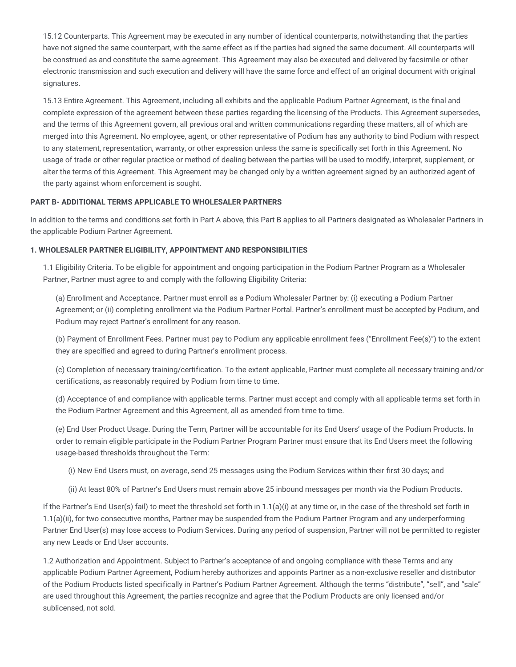15.12 Counterparts. This Agreement may be executed in any number of identical counterparts, notwithstanding that the parties have not signed the same counterpart, with the same effect as if the parties had signed the same document. All counterparts will be construed as and constitute the same agreement. This Agreement may also be executed and delivered by facsimile or other electronic transmission and such execution and delivery will have the same force and effect of an original document with original signatures.

15.13 Entire Agreement. This Agreement, including all exhibits and the applicable Podium Partner Agreement, is the final and complete expression of the agreement between these parties regarding the licensing of the Products. This Agreement supersedes, and the terms of this Agreement govern, all previous oral and written communications regarding these matters, all of which are merged into this Agreement. No employee, agent, or other representative of Podium has any authority to bind Podium with respect to any statement, representation, warranty, or other expression unless the same is specifically set forth in this Agreement. No usage of trade or other regular practice or method of dealing between the parties will be used to modify, interpret, supplement, or alter the terms of this Agreement. This Agreement may be changed only by a written agreement signed by an authorized agent of the party against whom enforcement is sought.

## **PART B- ADDITIONAL TERMS APPLICABLE TO WHOLESALER PARTNERS**

In addition to the terms and conditions set forth in Part A above, this Part B applies to all Partners designated as Wholesaler Partners in the applicable Podium Partner Agreement.

## **1. WHOLESALER PARTNER ELIGIBILITY, APPOINTMENT AND RESPONSIBILITIES**

1.1 Eligibility Criteria. To be eligible for appointment and ongoing participation in the Podium Partner Program as a Wholesaler Partner, Partner must agree to and comply with the following Eligibility Criteria:

(a) Enrollment and Acceptance. Partner must enroll as a Podium Wholesaler Partner by: (i) executing a Podium Partner Agreement; or (ii) completing enrollment via the Podium Partner Portal. Partner's enrollment must be accepted by Podium, and Podium may reject Partner's enrollment for any reason.

(b) Payment of Enrollment Fees. Partner must pay to Podium any applicable enrollment fees ("Enrollment Fee(s)") to the extent they are specified and agreed to during Partner's enrollment process.

(c) Completion of necessary training/certification. To the extent applicable, Partner must complete all necessary training and/or certifications, as reasonably required by Podium from time to time.

(d) Acceptance of and compliance with applicable terms. Partner must accept and comply with all applicable terms set forth in the Podium Partner Agreement and this Agreement, all as amended from time to time.

(e) End User Product Usage. During the Term, Partner will be accountable for its End Users' usage of the Podium Products. In order to remain eligible participate in the Podium Partner Program Partner must ensure that its End Users meet the following usage-based thresholds throughout the Term:

(i) New End Users must, on average, send 25 messages using the Podium Services within their first 30 days; and

(ii) At least 80% of Partner's End Users must remain above 25 inbound messages per month via the Podium Products.

If the Partner's End User(s) fail) to meet the threshold set forth in  $1.1(a)(i)$  at any time or, in the case of the threshold set forth in 1.1(a)(ii), for two consecutive months, Partner may be suspended from the Podium Partner Program and any underperforming Partner End User(s) may lose access to Podium Services. During any period of suspension, Partner will not be permitted to register any new Leads or End User accounts.

1.2 Authorization and Appointment. Subject to Partner's acceptance of and ongoing compliance with these Terms and any applicable Podium Partner Agreement, Podium hereby authorizes and appoints Partner as a non-exclusive reseller and distributor of the Podium Products listed specifically in Partner's Podium Partner Agreement. Although the terms "distribute", "sell", and "sale" are used throughout this Agreement, the parties recognize and agree that the Podium Products are only licensed and/or sublicensed, not sold.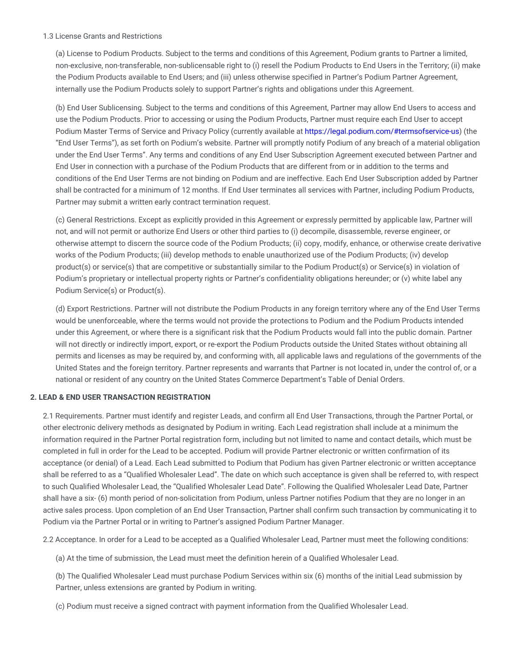## 1.3 License Grants and Restrictions

(a) License to Podium Products. Subject to the terms and conditions of this Agreement, Podium grants to Partner a limited, non-exclusive, non-transferable, non-sublicensable right to (i) resell the Podium Products to End Users in the Territory; (ii) make the Podium Products available to End Users; and (iii) unless otherwise specified in Partner's Podium Partner Agreement, internally use the Podium Products solely to support Partner's rights and obligations under this Agreement.

(b) End User Sublicensing. Subject to the terms and conditions of this Agreement, Partner may allow End Users to access and use the Podium Products. Prior to accessing or using the Podium Products, Partner must require each End User to accept Podium Master Terms of Service and Privacy Policy (currently available at [https://legal.podium.com/#termsofservice-us\)](https://legal.podium.com/#termsofservice-us) (the "End User Terms"), as set forth on Podium's website. Partner will promptly notify Podium of any breach of a material obligation under the End User Terms". Any terms and conditions of any End User Subscription Agreement executed between Partner and End User in connection with a purchase of the Podium Products that are different from or in addition to the terms and conditions of the End User Terms are not binding on Podium and are ineffective. Each End User Subscription added by Partner shall be contracted for a minimum of 12 months. If End User terminates all services with Partner, including Podium Products, Partner may submit a written early contract termination request.

(c) General Restrictions. Except as explicitly provided in this Agreement or expressly permitted by applicable law, Partner will not, and will not permit or authorize End Users or other third parties to (i) decompile, disassemble, reverse engineer, or otherwise attempt to discern the source code of the Podium Products; (ii) copy, modify, enhance, or otherwise create derivative works of the Podium Products; (iii) develop methods to enable unauthorized use of the Podium Products; (iv) develop product(s) or service(s) that are competitive or substantially similar to the Podium Product(s) or Service(s) in violation of Podium's proprietary or intellectual property rights or Partner's confidentiality obligations hereunder; or (v) white label any Podium Service(s) or Product(s).

(d) Export Restrictions. Partner will not distribute the Podium Products in any foreign territory where any of the End User Terms would be unenforceable, where the terms would not provide the protections to Podium and the Podium Products intended under this Agreement, or where there is a significant risk that the Podium Products would fall into the public domain. Partner will not directly or indirectly import, export, or re-export the Podium Products outside the United States without obtaining all permits and licenses as may be required by, and conforming with, all applicable laws and regulations of the governments of the United States and the foreign territory. Partner represents and warrants that Partner is not located in, under the control of, or a national or resident of any country on the United States Commerce Department's Table of Denial Orders.

## **2. LEAD & END USER TRANSACTION REGISTRATION**

2.1 Requirements. Partner must identify and register Leads, and confirm all End User Transactions, through the Partner Portal, or other electronic delivery methods as designated by Podium in writing. Each Lead registration shall include at a minimum the information required in the Partner Portal registration form, including but not limited to name and contact details, which must be completed in full in order for the Lead to be accepted. Podium will provide Partner electronic or written confirmation of its acceptance (or denial) of a Lead. Each Lead submitted to Podium that Podium has given Partner electronic or written acceptance shall be referred to as a "Qualified Wholesaler Lead". The date on which such acceptance is given shall be referred to, with respect to such Qualified Wholesaler Lead, the "Qualified Wholesaler Lead Date". Following the Qualified Wholesaler Lead Date, Partner shall have a six- (6) month period of non-solicitation from Podium, unless Partner notifies Podium that they are no longer in an active sales process. Upon completion of an End User Transaction, Partner shall confirm such transaction by communicating it to Podium via the Partner Portal or in writing to Partner's assigned Podium Partner Manager.

2.2 Acceptance. In order for a Lead to be accepted as a Qualified Wholesaler Lead, Partner must meet the following conditions:

(a) At the time of submission, the Lead must meet the definition herein of a Qualified Wholesaler Lead.

(b) The Qualified Wholesaler Lead must purchase Podium Services within six (6) months of the initial Lead submission by Partner, unless extensions are granted by Podium in writing.

(c) Podium must receive a signed contract with payment information from the Qualified Wholesaler Lead.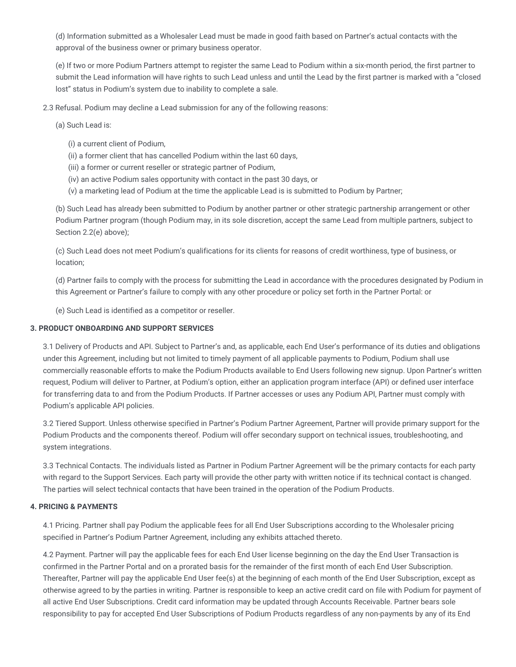(d) Information submitted as a Wholesaler Lead must be made in good faith based on Partner's actual contacts with the approval of the business owner or primary business operator.

(e) If two or more Podium Partners attempt to register the same Lead to Podium within a six-month period, the first partner to submit the Lead information will have rights to such Lead unless and until the Lead by the first partner is marked with a "closed lost" status in Podium's system due to inability to complete a sale.

2.3 Refusal. Podium may decline a Lead submission for any of the following reasons:

(a) Such Lead is:

- (i) a current client of Podium,
- (ii) a former client that has cancelled Podium within the last 60 days,
- (iii) a former or current reseller or strategic partner of Podium,
- (iv) an active Podium sales opportunity with contact in the past 30 days, or
- (v) a marketing lead of Podium at the time the applicable Lead is is submitted to Podium by Partner;

(b) Such Lead has already been submitted to Podium by another partner or other strategic partnership arrangement or other Podium Partner program (though Podium may, in its sole discretion, accept the same Lead from multiple partners, subject to Section 2.2(e) above);

(c) Such Lead does not meet Podium's qualifications for its clients for reasons of credit worthiness, type of business, or location;

(d) Partner fails to comply with the process for submitting the Lead in accordance with the procedures designated by Podium in this Agreement or Partner's failure to comply with any other procedure or policy set forth in the Partner Portal: or

(e) Such Lead is identified as a competitor or reseller.

#### **3. PRODUCT ONBOARDING AND SUPPORT SERVICES**

3.1 Delivery of Products and API. Subject to Partner's and, as applicable, each End User's performance of its duties and obligations under this Agreement, including but not limited to timely payment of all applicable payments to Podium, Podium shall use commercially reasonable efforts to make the Podium Products available to End Users following new signup. Upon Partner's written request, Podium will deliver to Partner, at Podium's option, either an application program interface (API) or defined user interface for transferring data to and from the Podium Products. If Partner accesses or uses any Podium API, Partner must comply with Podium's applicable API policies.

3.2 Tiered Support. Unless otherwise specified in Partner's Podium Partner Agreement, Partner will provide primary support for the Podium Products and the components thereof. Podium will offer secondary support on technical issues, troubleshooting, and system integrations.

3.3 Technical Contacts. The individuals listed as Partner in Podium Partner Agreement will be the primary contacts for each party with regard to the Support Services. Each party will provide the other party with written notice if its technical contact is changed. The parties will select technical contacts that have been trained in the operation of the Podium Products.

#### **4. PRICING & PAYMENTS**

4.1 Pricing. Partner shall pay Podium the applicable fees for all End User Subscriptions according to the Wholesaler pricing specified in Partner's Podium Partner Agreement, including any exhibits attached thereto.

4.2 Payment. Partner will pay the applicable fees for each End User license beginning on the day the End User Transaction is confirmed in the Partner Portal and on a prorated basis for the remainder of the first month of each End User Subscription. Thereafter, Partner will pay the applicable End User fee(s) at the beginning of each month of the End User Subscription, except as otherwise agreed to by the parties in writing. Partner is responsible to keep an active credit card on file with Podium for payment of all active End User Subscriptions. Credit card information may be updated through Accounts Receivable. Partner bears sole responsibility to pay for accepted End User Subscriptions of Podium Products regardless of any non-payments by any of its End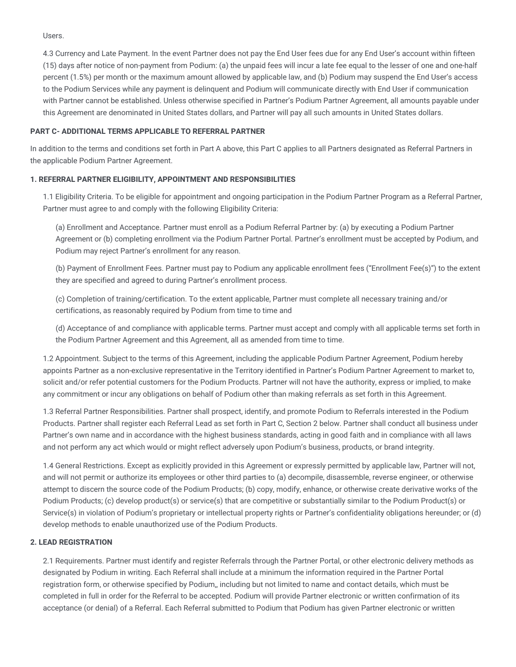Users.

4.3 Currency and Late Payment. In the event Partner does not pay the End User fees due for any End User's account within fifteen (15) days after notice of non-payment from Podium: (a) the unpaid fees will incur a late fee equal to the lesser of one and one-half percent (1.5%) per month or the maximum amount allowed by applicable law, and (b) Podium may suspend the End User's access to the Podium Services while any payment is delinquent and Podium will communicate directly with End User if communication with Partner cannot be established. Unless otherwise specified in Partner's Podium Partner Agreement, all amounts payable under this Agreement are denominated in United States dollars, and Partner will pay all such amounts in United States dollars.

## **PART C- ADDITIONAL TERMS APPLICABLE TO REFERRAL PARTNER**

In addition to the terms and conditions set forth in Part A above, this Part C applies to all Partners designated as Referral Partners in the applicable Podium Partner Agreement.

## **1. REFERRAL PARTNER ELIGIBILITY, APPOINTMENT AND RESPONSIBILITIES**

1.1 Eligibility Criteria. To be eligible for appointment and ongoing participation in the Podium Partner Program as a Referral Partner, Partner must agree to and comply with the following Eligibility Criteria:

(a) Enrollment and Acceptance. Partner must enroll as a Podium Referral Partner by: (a) by executing a Podium Partner Agreement or (b) completing enrollment via the Podium Partner Portal. Partner's enrollment must be accepted by Podium, and Podium may reject Partner's enrollment for any reason.

(b) Payment of Enrollment Fees. Partner must pay to Podium any applicable enrollment fees ("Enrollment Fee(s)") to the extent they are specified and agreed to during Partner's enrollment process.

(c) Completion of training/certification. To the extent applicable, Partner must complete all necessary training and/or certifications, as reasonably required by Podium from time to time and

(d) Acceptance of and compliance with applicable terms. Partner must accept and comply with all applicable terms set forth in the Podium Partner Agreement and this Agreement, all as amended from time to time.

1.2 Appointment. Subject to the terms of this Agreement, including the applicable Podium Partner Agreement, Podium hereby appoints Partner as a non-exclusive representative in the Territory identified in Partner's Podium Partner Agreement to market to, solicit and/or refer potential customers for the Podium Products. Partner will not have the authority, express or implied, to make any commitment or incur any obligations on behalf of Podium other than making referrals as set forth in this Agreement.

1.3 Referral Partner Responsibilities. Partner shall prospect, identify, and promote Podium to Referrals interested in the Podium Products. Partner shall register each Referral Lead as set forth in Part C, Section 2 below. Partner shall conduct all business under Partner's own name and in accordance with the highest business standards, acting in good faith and in compliance with all laws and not perform any act which would or might reflect adversely upon Podium's business, products, or brand integrity.

1.4 General Restrictions. Except as explicitly provided in this Agreement or expressly permitted by applicable law, Partner will not, and will not permit or authorize its employees or other third parties to (a) decompile, disassemble, reverse engineer, or otherwise attempt to discern the source code of the Podium Products; (b) copy, modify, enhance, or otherwise create derivative works of the Podium Products; (c) develop product(s) or service(s) that are competitive or substantially similar to the Podium Product(s) or Service(s) in violation of Podium's proprietary or intellectual property rights or Partner's confidentiality obligations hereunder; or (d) develop methods to enable unauthorized use of the Podium Products.

## **2. LEAD REGISTRATION**

2.1 Requirements. Partner must identify and register Referrals through the Partner Portal, or other electronic delivery methods as designated by Podium in writing. Each Referral shall include at a minimum the information required in the Partner Portal registration form, or otherwise specified by Podium,, including but not limited to name and contact details, which must be completed in full in order for the Referral to be accepted. Podium will provide Partner electronic or written confirmation of its acceptance (or denial) of a Referral. Each Referral submitted to Podium that Podium has given Partner electronic or written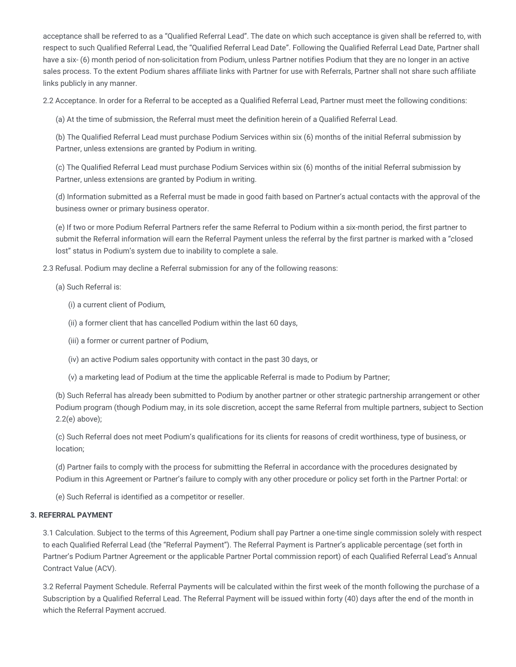acceptance shall be referred to as a "Qualified Referral Lead". The date on which such acceptance is given shall be referred to, with respect to such Qualified Referral Lead, the "Qualified Referral Lead Date". Following the Qualified Referral Lead Date, Partner shall have a six- (6) month period of non-solicitation from Podium, unless Partner notifies Podium that they are no longer in an active sales process. To the extent Podium shares affiliate links with Partner for use with Referrals, Partner shall not share such affiliate links publicly in any manner.

2.2 Acceptance. In order for a Referral to be accepted as a Qualified Referral Lead, Partner must meet the following conditions:

(a) At the time of submission, the Referral must meet the definition herein of a Qualified Referral Lead.

(b) The Qualified Referral Lead must purchase Podium Services within six (6) months of the initial Referral submission by Partner, unless extensions are granted by Podium in writing.

(c) The Qualified Referral Lead must purchase Podium Services within six (6) months of the initial Referral submission by Partner, unless extensions are granted by Podium in writing.

(d) Information submitted as a Referral must be made in good faith based on Partner's actual contacts with the approval of the business owner or primary business operator.

(e) If two or more Podium Referral Partners refer the same Referral to Podium within a six-month period, the first partner to submit the Referral information will earn the Referral Payment unless the referral by the first partner is marked with a "closed lost" status in Podium's system due to inability to complete a sale.

2.3 Refusal. Podium may decline a Referral submission for any of the following reasons:

- (a) Such Referral is:
	- (i) a current client of Podium,
	- (ii) a former client that has cancelled Podium within the last 60 days,
	- (iii) a former or current partner of Podium,
	- (iv) an active Podium sales opportunity with contact in the past 30 days, or
	- (v) a marketing lead of Podium at the time the applicable Referral is made to Podium by Partner;

(b) Such Referral has already been submitted to Podium by another partner or other strategic partnership arrangement or other Podium program (though Podium may, in its sole discretion, accept the same Referral from multiple partners, subject to Section 2.2(e) above);

(c) Such Referral does not meet Podium's qualifications for its clients for reasons of credit worthiness, type of business, or location;

(d) Partner fails to comply with the process for submitting the Referral in accordance with the procedures designated by Podium in this Agreement or Partner's failure to comply with any other procedure or policy set forth in the Partner Portal: or

(e) Such Referral is identified as a competitor or reseller.

#### **3. REFERRAL PAYMENT**

3.1 Calculation. Subject to the terms of this Agreement, Podium shall pay Partner a one-time single commission solely with respect to each Qualified Referral Lead (the "Referral Payment"). The Referral Payment is Partner's applicable percentage (set forth in Partner's Podium Partner Agreement or the applicable Partner Portal commission report) of each Qualified Referral Lead's Annual Contract Value (ACV).

3.2 Referral Payment Schedule. Referral Payments will be calculated within the first week of the month following the purchase of a Subscription by a Qualified Referral Lead. The Referral Payment will be issued within forty (40) days after the end of the month in which the Referral Payment accrued.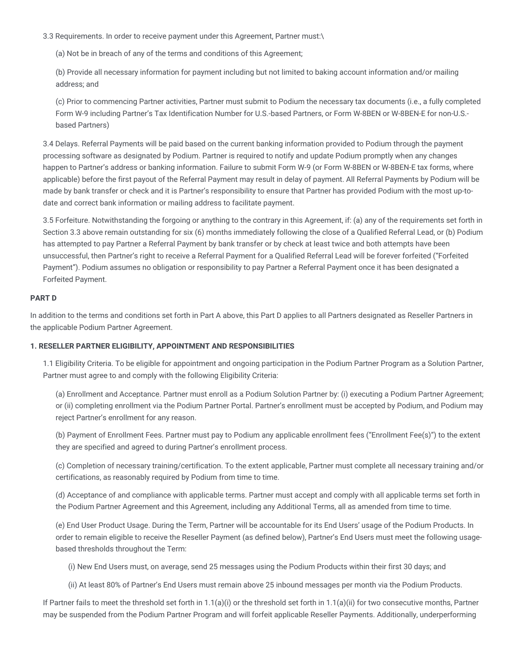3.3 Requirements. In order to receive payment under this Agreement, Partner must:\

(a) Not be in breach of any of the terms and conditions of this Agreement;

(b) Provide all necessary information for payment including but not limited to baking account information and/or mailing address; and

(c) Prior to commencing Partner activities, Partner must submit to Podium the necessary tax documents (i.e., a fully completed Form W-9 including Partner's Tax Identification Number for U.S.-based Partners, or Form W-8BEN or W-8BEN-E for non-U.S. based Partners)

3.4 Delays. Referral Payments will be paid based on the current banking information provided to Podium through the payment processing software as designated by Podium. Partner is required to notify and update Podium promptly when any changes happen to Partner's address or banking information. Failure to submit Form W-9 (or Form W-8BEN or W-8BEN-E tax forms, where applicable) before the first payout of the Referral Payment may result in delay of payment. All Referral Payments by Podium will be made by bank transfer or check and it is Partner's responsibility to ensure that Partner has provided Podium with the most up-todate and correct bank information or mailing address to facilitate payment.

3.5 Forfeiture. Notwithstanding the forgoing or anything to the contrary in this Agreement, if: (a) any of the requirements set forth in Section 3.3 above remain outstanding for six (6) months immediately following the close of a Qualified Referral Lead, or (b) Podium has attempted to pay Partner a Referral Payment by bank transfer or by check at least twice and both attempts have been unsuccessful, then Partner's right to receive a Referral Payment for a Qualified Referral Lead will be forever forfeited ("Forfeited Payment"). Podium assumes no obligation or responsibility to pay Partner a Referral Payment once it has been designated a Forfeited Payment.

## **PART D**

In addition to the terms and conditions set forth in Part A above, this Part D applies to all Partners designated as Reseller Partners in the applicable Podium Partner Agreement.

## **1. RESELLER PARTNER ELIGIBILITY, APPOINTMENT AND RESPONSIBILITIES**

1.1 Eligibility Criteria. To be eligible for appointment and ongoing participation in the Podium Partner Program as a Solution Partner, Partner must agree to and comply with the following Eligibility Criteria:

(a) Enrollment and Acceptance. Partner must enroll as a Podium Solution Partner by: (i) executing a Podium Partner Agreement; or (ii) completing enrollment via the Podium Partner Portal. Partner's enrollment must be accepted by Podium, and Podium may reject Partner's enrollment for any reason.

(b) Payment of Enrollment Fees. Partner must pay to Podium any applicable enrollment fees ("Enrollment Fee(s)") to the extent they are specified and agreed to during Partner's enrollment process.

(c) Completion of necessary training/certification. To the extent applicable, Partner must complete all necessary training and/or certifications, as reasonably required by Podium from time to time.

(d) Acceptance of and compliance with applicable terms. Partner must accept and comply with all applicable terms set forth in the Podium Partner Agreement and this Agreement, including any Additional Terms, all as amended from time to time.

(e) End User Product Usage. During the Term, Partner will be accountable for its End Users' usage of the Podium Products. In order to remain eligible to receive the Reseller Payment (as defined below), Partner's End Users must meet the following usagebased thresholds throughout the Term:

(i) New End Users must, on average, send 25 messages using the Podium Products within their first 30 days; and

(ii) At least 80% of Partner's End Users must remain above 25 inbound messages per month via the Podium Products.

If Partner fails to meet the threshold set forth in  $1.1(a)(i)$  or the threshold set forth in  $1.1(a)(ii)$  for two consecutive months, Partner may be suspended from the Podium Partner Program and will forfeit applicable Reseller Payments. Additionally, underperforming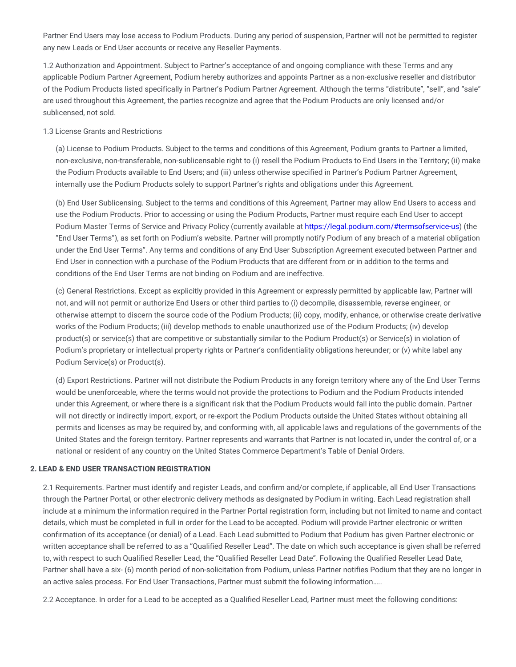Partner End Users may lose access to Podium Products. During any period of suspension, Partner will not be permitted to register any new Leads or End User accounts or receive any Reseller Payments.

1.2 Authorization and Appointment. Subject to Partner's acceptance of and ongoing compliance with these Terms and any applicable Podium Partner Agreement, Podium hereby authorizes and appoints Partner as a non-exclusive reseller and distributor of the Podium Products listed specifically in Partner's Podium Partner Agreement. Although the terms "distribute", "sell", and "sale" are used throughout this Agreement, the parties recognize and agree that the Podium Products are only licensed and/or sublicensed, not sold.

#### 1.3 License Grants and Restrictions

(a) License to Podium Products. Subject to the terms and conditions of this Agreement, Podium grants to Partner a limited, non-exclusive, non-transferable, non-sublicensable right to (i) resell the Podium Products to End Users in the Territory; (ii) make the Podium Products available to End Users; and (iii) unless otherwise specified in Partner's Podium Partner Agreement, internally use the Podium Products solely to support Partner's rights and obligations under this Agreement.

(b) End User Sublicensing. Subject to the terms and conditions of this Agreement, Partner may allow End Users to access and use the Podium Products. Prior to accessing or using the Podium Products, Partner must require each End User to accept Podium Master Terms of Service and Privacy Policy (currently available at [https://legal.podium.com/#termsofservice-us\)](https://legal.podium.com/#termsofservice-us) (the "End User Terms"), as set forth on Podium's website. Partner will promptly notify Podium of any breach of a material obligation under the End User Terms". Any terms and conditions of any End User Subscription Agreement executed between Partner and End User in connection with a purchase of the Podium Products that are different from or in addition to the terms and conditions of the End User Terms are not binding on Podium and are ineffective.

(c) General Restrictions. Except as explicitly provided in this Agreement or expressly permitted by applicable law, Partner will not, and will not permit or authorize End Users or other third parties to (i) decompile, disassemble, reverse engineer, or otherwise attempt to discern the source code of the Podium Products; (ii) copy, modify, enhance, or otherwise create derivative works of the Podium Products; (iii) develop methods to enable unauthorized use of the Podium Products; (iv) develop product(s) or service(s) that are competitive or substantially similar to the Podium Product(s) or Service(s) in violation of Podium's proprietary or intellectual property rights or Partner's confidentiality obligations hereunder; or (v) white label any Podium Service(s) or Product(s).

(d) Export Restrictions. Partner will not distribute the Podium Products in any foreign territory where any of the End User Terms would be unenforceable, where the terms would not provide the protections to Podium and the Podium Products intended under this Agreement, or where there is a significant risk that the Podium Products would fall into the public domain. Partner will not directly or indirectly import, export, or re-export the Podium Products outside the United States without obtaining all permits and licenses as may be required by, and conforming with, all applicable laws and regulations of the governments of the United States and the foreign territory. Partner represents and warrants that Partner is not located in, under the control of, or a national or resident of any country on the United States Commerce Department's Table of Denial Orders.

#### **2. LEAD & END USER TRANSACTION REGISTRATION**

2.1 Requirements. Partner must identify and register Leads, and confirm and/or complete, if applicable, all End User Transactions through the Partner Portal, or other electronic delivery methods as designated by Podium in writing. Each Lead registration shall include at a minimum the information required in the Partner Portal registration form, including but not limited to name and contact details, which must be completed in full in order for the Lead to be accepted. Podium will provide Partner electronic or written confirmation of its acceptance (or denial) of a Lead. Each Lead submitted to Podium that Podium has given Partner electronic or written acceptance shall be referred to as a "Qualified Reseller Lead". The date on which such acceptance is given shall be referred to, with respect to such Qualified Reseller Lead, the "Qualified Reseller Lead Date". Following the Qualified Reseller Lead Date, Partner shall have a six- (6) month period of non-solicitation from Podium, unless Partner notifies Podium that they are no longer in an active sales process. For End User Transactions, Partner must submit the following information…..

2.2 Acceptance. In order for a Lead to be accepted as a Qualified Reseller Lead, Partner must meet the following conditions: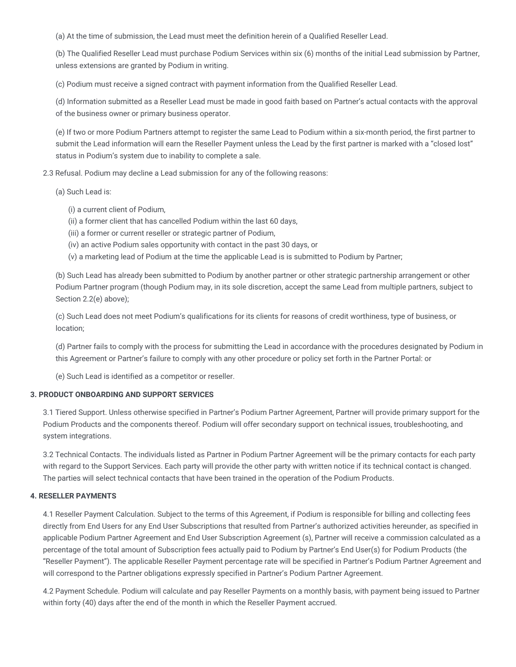(a) At the time of submission, the Lead must meet the definition herein of a Qualified Reseller Lead.

(b) The Qualified Reseller Lead must purchase Podium Services within six (6) months of the initial Lead submission by Partner, unless extensions are granted by Podium in writing.

(c) Podium must receive a signed contract with payment information from the Qualified Reseller Lead.

(d) Information submitted as a Reseller Lead must be made in good faith based on Partner's actual contacts with the approval of the business owner or primary business operator.

(e) If two or more Podium Partners attempt to register the same Lead to Podium within a six-month period, the first partner to submit the Lead information will earn the Reseller Payment unless the Lead by the first partner is marked with a "closed lost" status in Podium's system due to inability to complete a sale.

2.3 Refusal. Podium may decline a Lead submission for any of the following reasons:

- (a) Such Lead is:
	- (i) a current client of Podium,
	- (ii) a former client that has cancelled Podium within the last 60 days,
	- (iii) a former or current reseller or strategic partner of Podium,
	- (iv) an active Podium sales opportunity with contact in the past 30 days, or
	- (v) a marketing lead of Podium at the time the applicable Lead is is submitted to Podium by Partner;

(b) Such Lead has already been submitted to Podium by another partner or other strategic partnership arrangement or other Podium Partner program (though Podium may, in its sole discretion, accept the same Lead from multiple partners, subject to Section 2.2(e) above);

(c) Such Lead does not meet Podium's qualifications for its clients for reasons of credit worthiness, type of business, or location;

(d) Partner fails to comply with the process for submitting the Lead in accordance with the procedures designated by Podium in this Agreement or Partner's failure to comply with any other procedure or policy set forth in the Partner Portal: or

(e) Such Lead is identified as a competitor or reseller.

## **3. PRODUCT ONBOARDING AND SUPPORT SERVICES**

3.1 Tiered Support. Unless otherwise specified in Partner's Podium Partner Agreement, Partner will provide primary support for the Podium Products and the components thereof. Podium will offer secondary support on technical issues, troubleshooting, and system integrations.

3.2 Technical Contacts. The individuals listed as Partner in Podium Partner Agreement will be the primary contacts for each party with regard to the Support Services. Each party will provide the other party with written notice if its technical contact is changed. The parties will select technical contacts that have been trained in the operation of the Podium Products.

## **4. RESELLER PAYMENTS**

4.1 Reseller Payment Calculation. Subject to the terms of this Agreement, if Podium is responsible for billing and collecting fees directly from End Users for any End User Subscriptions that resulted from Partner's authorized activities hereunder, as specified in applicable Podium Partner Agreement and End User Subscription Agreement (s), Partner will receive a commission calculated as a percentage of the total amount of Subscription fees actually paid to Podium by Partner's End User(s) for Podium Products (the "Reseller Payment"). The applicable Reseller Payment percentage rate will be specified in Partner's Podium Partner Agreement and will correspond to the Partner obligations expressly specified in Partner's Podium Partner Agreement.

4.2 Payment Schedule. Podium will calculate and pay Reseller Payments on a monthly basis, with payment being issued to Partner within forty (40) days after the end of the month in which the Reseller Payment accrued.